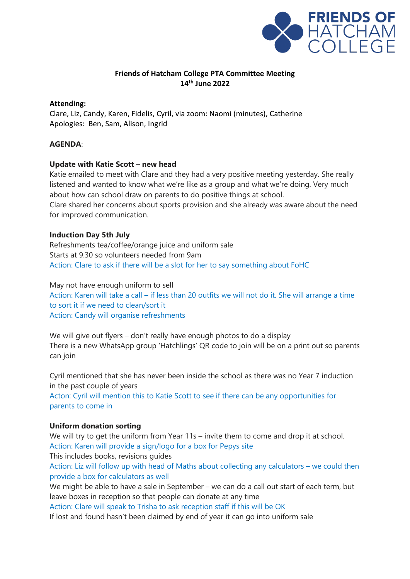

### **Friends of Hatcham College PTA Committee Meeting 14th June 2022**

### **Attending:**

Clare, Liz, Candy, Karen, Fidelis, Cyril, via zoom: Naomi (minutes), Catherine Apologies: Ben, Sam, Alison, Ingrid

## **AGENDA**:

## **Update with Katie Scott – new head**

Katie emailed to meet with Clare and they had a very positive meeting yesterday. She really listened and wanted to know what we're like as a group and what we're doing. Very much about how can school draw on parents to do positive things at school. Clare shared her concerns about sports provision and she already was aware about the need for improved communication.

### **Induction Day 5th July**

Refreshments tea/coffee/orange juice and uniform sale Starts at 9.30 so volunteers needed from 9am Action: Clare to ask if there will be a slot for her to say something about FoHC

May not have enough uniform to sell Action: Karen will take a call – if less than 20 outfits we will not do it. She will arrange a time to sort it if we need to clean/sort it Action: Candy will organise refreshments

We will give out flyers – don't really have enough photos to do a display There is a new WhatsApp group 'Hatchlings' QR code to join will be on a print out so parents can join

Cyril mentioned that she has never been inside the school as there was no Year 7 induction in the past couple of years

Acton: Cyril will mention this to Katie Scott to see if there can be any opportunities for parents to come in

### **Uniform donation sorting**

We will try to get the uniform from Year 11s – invite them to come and drop it at school. Action: Karen will provide a sign/logo for a box for Pepys site This includes books, revisions guides Action: Liz will follow up with head of Maths about collecting any calculators – we could then provide a box for calculators as well We might be able to have a sale in September – we can do a call out start of each term, but leave boxes in reception so that people can donate at any time

Action: Clare will speak to Trisha to ask reception staff if this will be OK If lost and found hasn't been claimed by end of year it can go into uniform sale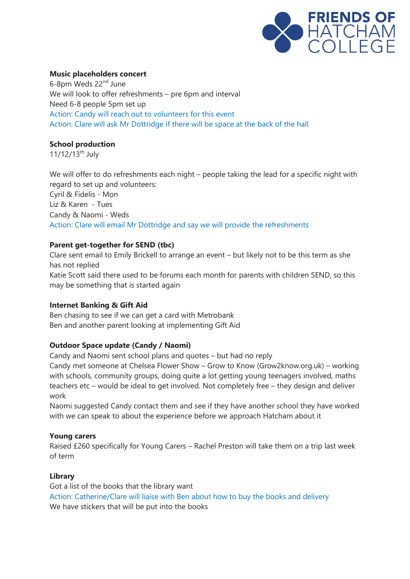

## **Music placeholders concert**

6-8pm Weds 22nd June We will look to offer refreshments – pre 6pm and interval Need 6-8 people 5pm set up Action: Candy will reach out to volunteers for this event Action: Clare will ask Mr Dottridge if there will be space at the back of the hall

## **School production**

11/12/13<sup>th</sup> July

We will offer to do refreshments each night – people taking the lead for a specific night with regard to set up and volunteers: Cyril & Fidelis - Mon Liz & Karen - Tues Candy & Naomi - Weds Action: Clare will email Mr Dottridge and say we will provide the refreshments

## **Parent get-together for SEND (tbc)**

Clare sent email to Emily Brickell to arrange an event – but likely not to be this term as she has not replied Katie Scott said there used to be forums each month for parents with children SEND, so this may be something that is started again

### **Internet Banking & Gift Aid**

Ben chasing to see if we can get a card with Metrobank Ben and another parent looking at implementing Gift Aid

# **Outdoor Space update (Candy / Naomi)**

Candy and Naomi sent school plans and quotes – but had no reply

Candy met someone at Chelsea Flower Show – Grow to Know (Grow2know.org.uk) – working with schools, community groups, doing quite a lot getting young teenagers involved, maths teachers etc – would be ideal to get involved. Not completely free – they design and deliver work

Naomi suggested Candy contact them and see if they have another school they have worked with we can speak to about the experience before we approach Hatcham about it

### **Young carers**

Raised £260 specifically for Young Carers – Rachel Preston will take them on a trip last week of term

### **Library**

Got a list of the books that the library want Action: Catherine/Clare will liaise with Ben about how to buy the books and delivery We have stickers that will be put into the books